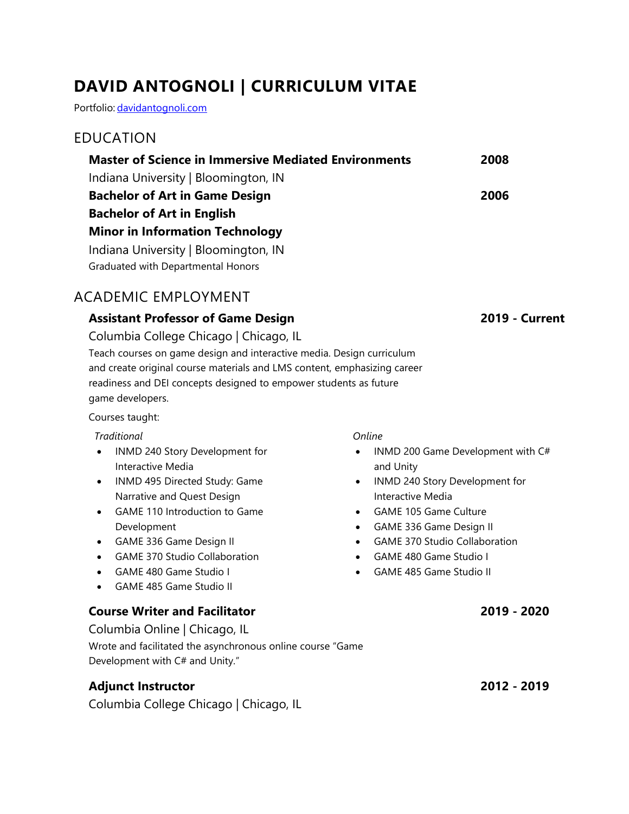# **DAVID ANTOGNOLI | CURRICULUM VITAE**

Portfolio: [davidantognoli.com](http://davidantognoli.com/)

### EDUCATION

| <b>Master of Science in Immersive Mediated Environments</b> | 2008 |
|-------------------------------------------------------------|------|
| Indiana University   Bloomington, IN                        |      |
| <b>Bachelor of Art in Game Design</b>                       | 2006 |
| <b>Bachelor of Art in English</b>                           |      |
| <b>Minor in Information Technology</b>                      |      |
| Indiana University   Bloomington, IN                        |      |
| Graduated with Departmental Honors                          |      |
|                                                             |      |

## ACADEMIC EMPLOYMENT

### **Assistant Professor of Game Design 2019 - Current**

Columbia College Chicago | Chicago, IL Teach courses on game design and interactive media. Design curriculum and create original course materials and LMS content, emphasizing career readiness and DEI concepts designed to empower students as future game developers.

Courses taught:

*Traditional*

- INMD 240 Story Development for Interactive Media
- INMD 495 Directed Study: Game Narrative and Quest Design
- GAME 110 Introduction to Game Development
- GAME 336 Game Design II
- GAME 370 Studio Collaboration
- GAME 480 Game Studio I
- GAME 485 Game Studio II

### **Course Writer and Facilitator 2019 - 2020**

Columbia Online | Chicago, IL Wrote and facilitated the asynchronous online course "Game Development with C# and Unity."

## **Adjunct Instructor 2012 - 2019**

Columbia College Chicago | Chicago, IL

*Online*

- INMD 200 Game Development with C# and Unity
- INMD 240 Story Development for Interactive Media
- GAME 105 Game Culture
- GAME 336 Game Design II
- GAME 370 Studio Collaboration
- GAME 480 Game Studio I
- GAME 485 Game Studio II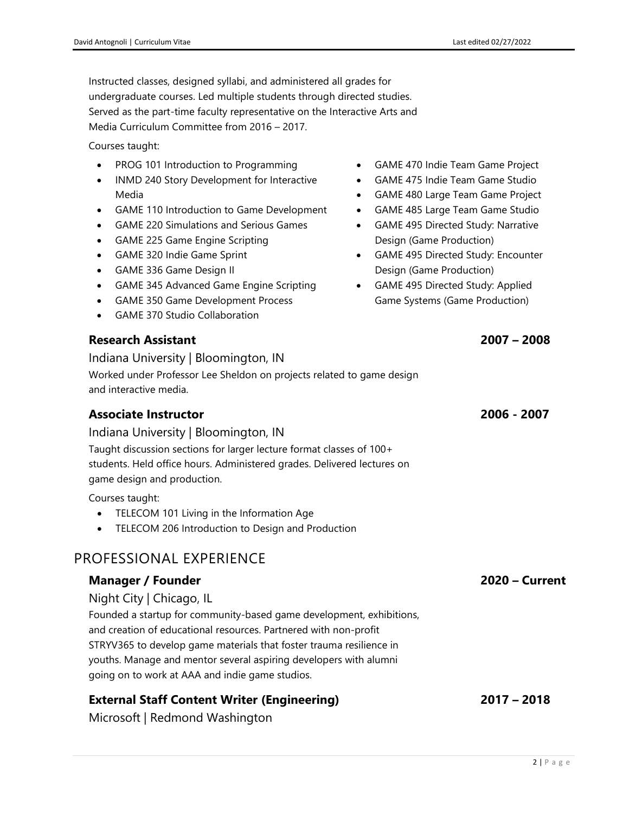Instructed classes, designed syllabi, and administered all grades for undergraduate courses. Led multiple students through directed studies. Served as the part-time faculty representative on the Interactive Arts and Media Curriculum Committee from 2016 – 2017.

Courses taught:

- PROG 101 Introduction to Programming
- INMD 240 Story Development for Interactive Media
- GAME 110 Introduction to Game Development
- GAME 220 Simulations and Serious Games
- GAME 225 Game Engine Scripting
- GAME 320 Indie Game Sprint
- GAME 336 Game Design II
- GAME 345 Advanced Game Engine Scripting
- GAME 350 Game Development Process
- GAME 370 Studio Collaboration

### **Research Assistant 2007 – 2008**

Indiana University | Bloomington, IN Worked under Professor Lee Sheldon on projects related to game design and interactive media.

### **Associate Instructor 2006 - 2007**

Indiana University | Bloomington, IN Taught discussion sections for larger lecture format classes of 100+ students. Held office hours. Administered grades. Delivered lectures on game design and production.

Courses taught:

- TELECOM 101 Living in the Information Age
- TELECOM 206 Introduction to Design and Production

## PROFESSIONAL EXPERIENCE

### **Manager / Founder 2020 – Current**

Night City | Chicago, IL

Founded a startup for community-based game development, exhibitions, and creation of educational resources. Partnered with non-profit STRYV365 to develop game materials that foster trauma resilience in youths. Manage and mentor several aspiring developers with alumni going on to work at AAA and indie game studios.

## **External Staff Content Writer (Engineering) 2017 – 2018**

Microsoft | Redmond Washington

- GAME 470 Indie Team Game Project
- GAME 475 Indie Team Game Studio
- GAME 480 Large Team Game Project
- GAME 485 Large Team Game Studio
- GAME 495 Directed Study: Narrative Design (Game Production)
- GAME 495 Directed Study: Encounter Design (Game Production)
- GAME 495 Directed Study: Applied Game Systems (Game Production)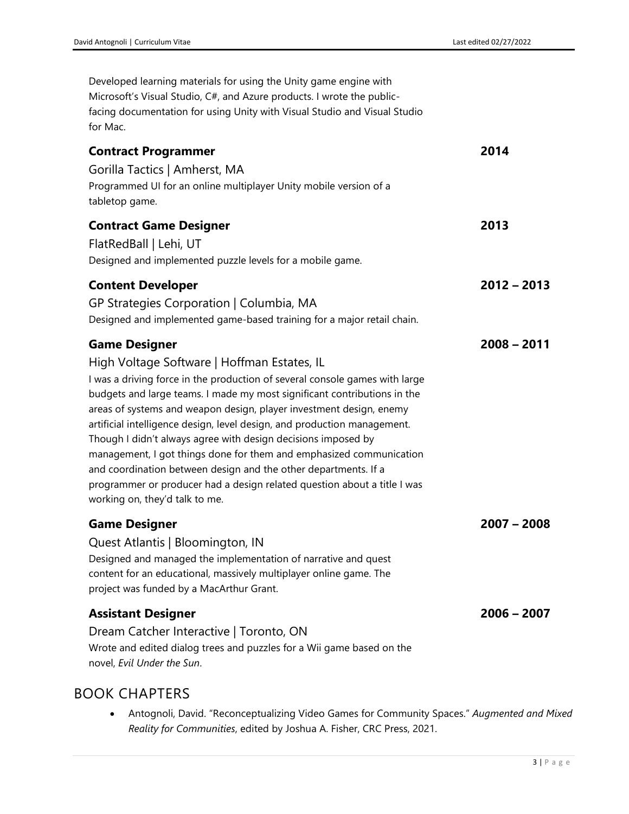| Developed learning materials for using the Unity game engine with<br>Microsoft's Visual Studio, C#, and Azure products. I wrote the public-<br>facing documentation for using Unity with Visual Studio and Visual Studio<br>for Mac.                                                                                                                                                                                                                                                                                                                                                                                                                                                                       |               |
|------------------------------------------------------------------------------------------------------------------------------------------------------------------------------------------------------------------------------------------------------------------------------------------------------------------------------------------------------------------------------------------------------------------------------------------------------------------------------------------------------------------------------------------------------------------------------------------------------------------------------------------------------------------------------------------------------------|---------------|
| <b>Contract Programmer</b><br>Gorilla Tactics   Amherst, MA<br>Programmed UI for an online multiplayer Unity mobile version of a<br>tabletop game.                                                                                                                                                                                                                                                                                                                                                                                                                                                                                                                                                         | 2014          |
| <b>Contract Game Designer</b><br>FlatRedBall   Lehi, UT<br>Designed and implemented puzzle levels for a mobile game.                                                                                                                                                                                                                                                                                                                                                                                                                                                                                                                                                                                       | 2013          |
| <b>Content Developer</b><br>GP Strategies Corporation   Columbia, MA<br>Designed and implemented game-based training for a major retail chain.                                                                                                                                                                                                                                                                                                                                                                                                                                                                                                                                                             | $2012 - 2013$ |
| <b>Game Designer</b><br>High Voltage Software   Hoffman Estates, IL<br>I was a driving force in the production of several console games with large<br>budgets and large teams. I made my most significant contributions in the<br>areas of systems and weapon design, player investment design, enemy<br>artificial intelligence design, level design, and production management.<br>Though I didn't always agree with design decisions imposed by<br>management, I got things done for them and emphasized communication<br>and coordination between design and the other departments. If a<br>programmer or producer had a design related question about a title I was<br>working on, they'd talk to me. | $2008 - 2011$ |
| <b>Game Designer</b><br>Quest Atlantis   Bloomington, IN<br>Designed and managed the implementation of narrative and quest<br>content for an educational, massively multiplayer online game. The<br>project was funded by a MacArthur Grant.                                                                                                                                                                                                                                                                                                                                                                                                                                                               | $2007 - 2008$ |
| <b>Assistant Designer</b><br>Dream Catcher Interactive   Toronto, ON<br>Wrote and edited dialog trees and puzzles for a Wii game based on the<br>novel, Evil Under the Sun.                                                                                                                                                                                                                                                                                                                                                                                                                                                                                                                                | $2006 - 2007$ |

## BOOK CHAPTERS

• Antognoli, David. "Reconceptualizing Video Games for Community Spaces." *Augmented and Mixed Reality for Communities*, edited by Joshua A. Fisher, CRC Press, 2021.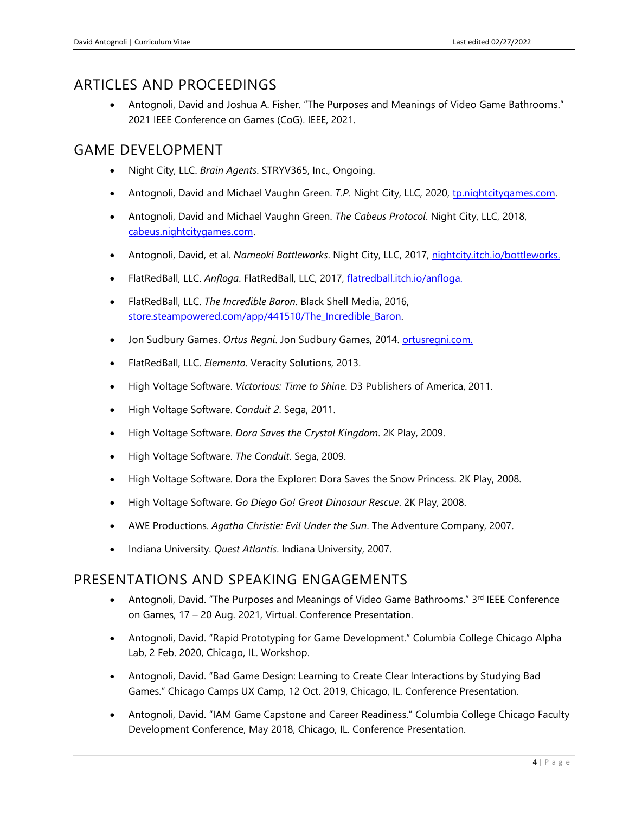## ARTICLES AND PROCEEDINGS

• Antognoli, David and Joshua A. Fisher. "The Purposes and Meanings of Video Game Bathrooms." 2021 IEEE Conference on Games (CoG). IEEE, 2021.

## GAME DEVELOPMENT

- Night City, LLC. *Brain Agents*. STRYV365, Inc., Ongoing.
- Antognoli, David and Michael Vaughn Green. *T.P.* Night City, LLC, 2020, tp.nightcitygames.com.
- Antognoli, David and Michael Vaughn Green. *The Cabeus Protocol*. Night City, LLC, 2018, [cabeus.nightcitygames.com.](http://www.cabeus.nightcitygames.com/)
- Antognoli, David, et al. *Nameoki Bottleworks*. Night City, LLC, 2017, [nightcity.itch.io/bottleworks.](https://nightcity.itch.io/bottleworks)
- FlatRedBall, LLC. *Anfloga*. FlatRedBall, LLC, 2017, [flatredball.itch.io/anfloga.](https://flatredball.itch.io/anfloga)
- FlatRedBall, LLC. *The Incredible Baron*. Black Shell Media, 2016, [store.steampowered.com/app/441510/The\\_Incredible\\_Baron.](https://store.steampowered.com/app/441510/The_Incredible_Baron/)
- Jon Sudbury Games. *Ortus Regni*. Jon Sudbury Games, 2014. [ortusregni.com.](http://ortusregni.com/)
- FlatRedBall, LLC. *Elemento*. Veracity Solutions, 2013.
- High Voltage Software. *Victorious: Time to Shine*. D3 Publishers of America, 2011.
- High Voltage Software. *Conduit 2*. Sega, 2011.
- High Voltage Software. *Dora Saves the Crystal Kingdom*. 2K Play, 2009.
- High Voltage Software. *The Conduit*. Sega, 2009.
- High Voltage Software. Dora the Explorer: Dora Saves the Snow Princess. 2K Play, 2008.
- High Voltage Software. *Go Diego Go! Great Dinosaur Rescue*. 2K Play, 2008.
- AWE Productions. *Agatha Christie: Evil Under the Sun*. The Adventure Company, 2007.
- Indiana University. *Quest Atlantis*. Indiana University, 2007.

### PRESENTATIONS AND SPEAKING ENGAGEMENTS

- Antognoli, David. "The Purposes and Meanings of Video Game Bathrooms." 3rd IEEE Conference on Games, 17 – 20 Aug. 2021, Virtual. Conference Presentation.
- Antognoli, David. "Rapid Prototyping for Game Development." Columbia College Chicago Alpha Lab, 2 Feb. 2020, Chicago, IL. Workshop.
- Antognoli, David. "Bad Game Design: Learning to Create Clear Interactions by Studying Bad Games." Chicago Camps UX Camp, 12 Oct. 2019, Chicago, IL. Conference Presentation.
- Antognoli, David. "IAM Game Capstone and Career Readiness." Columbia College Chicago Faculty Development Conference, May 2018, Chicago, IL. Conference Presentation.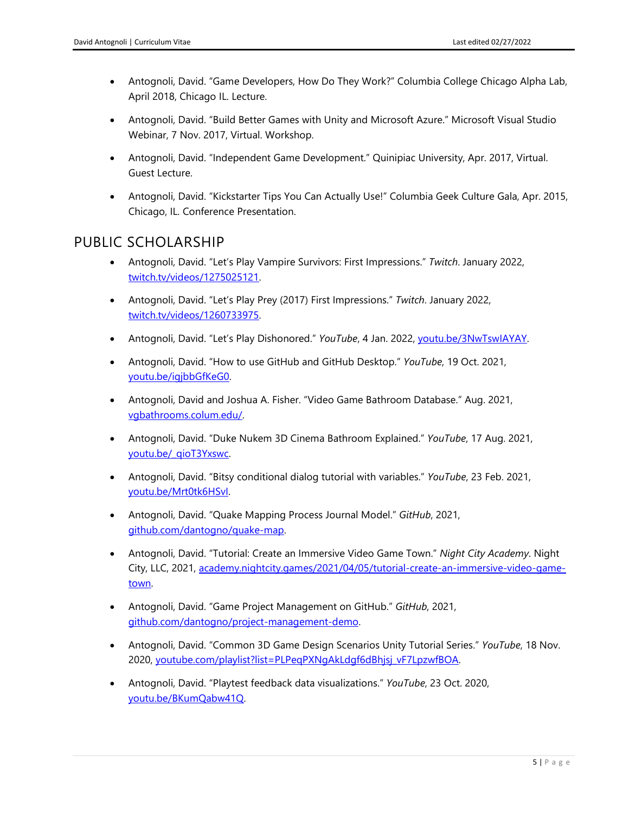- Antognoli, David. "Game Developers, How Do They Work?" Columbia College Chicago Alpha Lab, April 2018, Chicago IL. Lecture.
- Antognoli, David. "Build Better Games with Unity and Microsoft Azure." Microsoft Visual Studio Webinar, 7 Nov. 2017, Virtual. Workshop.
- Antognoli, David. "Independent Game Development." Quinipiac University, Apr. 2017, Virtual. Guest Lecture.
- Antognoli, David. "Kickstarter Tips You Can Actually Use!" Columbia Geek Culture Gala, Apr. 2015, Chicago, IL. Conference Presentation.

## PUBLIC SCHOLARSHIP

- Antognoli, David. "Let's Play Vampire Survivors: First Impressions." *Twitch*. January 2022, [twitch.tv/videos/1275025121.](https://www.twitch.tv/videos/1275025121)
- Antognoli, David. "Let's Play Prey (2017) First Impressions." *Twitch*. January 2022, [twitch.tv/videos/1260733975.](https://www.twitch.tv/videos/1260733975)
- Antognoli, David. "Let's Play Dishonored." *YouTube*, 4 Jan. 2022, *youtu.be/3NwTswIAYAY*.
- Antognoli, David. "How to use GitHub and GitHub Desktop." *YouTube*, 19 Oct. 2021, [youtu.be/igjbbGfKeG0.](https://youtu.be/igjbbGfKeG0)
- Antognoli, David and Joshua A. Fisher. "Video Game Bathroom Database." Aug. 2021, [vgbathrooms.colum.edu/.](https://vgbathrooms.colum.edu/)
- Antognoli, David. "Duke Nukem 3D Cinema Bathroom Explained." *YouTube*, 17 Aug. 2021, [youtu.be/\\_qioT3Yxswc.](https://youtu.be/_qioT3Yxswc)
- Antognoli, David. "Bitsy conditional dialog tutorial with variables." *YouTube*, 23 Feb. 2021, [youtu.be/Mrt0tk6HSvI.](https://youtu.be/Mrt0tk6HSvI)
- Antognoli, David. "Quake Mapping Process Journal Model." *GitHub*, 2021, [github.com/dantogno/quake-map.](https://github.com/dantogno/quake-map)
- Antognoli, David. "Tutorial: Create an Immersive Video Game Town." *Night City Academy*. Night City, LLC, 2021, [academy.nightcity.games/2021/04/05/tutorial-create-an-immersive-video-game](http://academy.nightcity.games/2021/04/05/tutorial-create-an-immersive-video-game-town/)[town.](http://academy.nightcity.games/2021/04/05/tutorial-create-an-immersive-video-game-town/)
- Antognoli, David. "Game Project Management on GitHub." *GitHub*, 2021, [github.com/dantogno/project-management-demo.](https://github.com/dantogno/project-management-demo)
- Antognoli, David. "Common 3D Game Design Scenarios Unity Tutorial Series." *YouTube*, 18 Nov. 2020, [youtube.com/playlist?list=PLPeqPXNgAkLdgf6dBhjsj\\_vF7LpzwfBOA.](https://www.youtube.com/playlist?list=PLPeqPXNgAkLdgf6dBhjsj_vF7LpzwfBOA)
- Antognoli, David. "Playtest feedback data visualizations." *YouTube*, 23 Oct. 2020, [youtu.be/BKumQabw41Q.](https://youtu.be/BKumQabw41Q)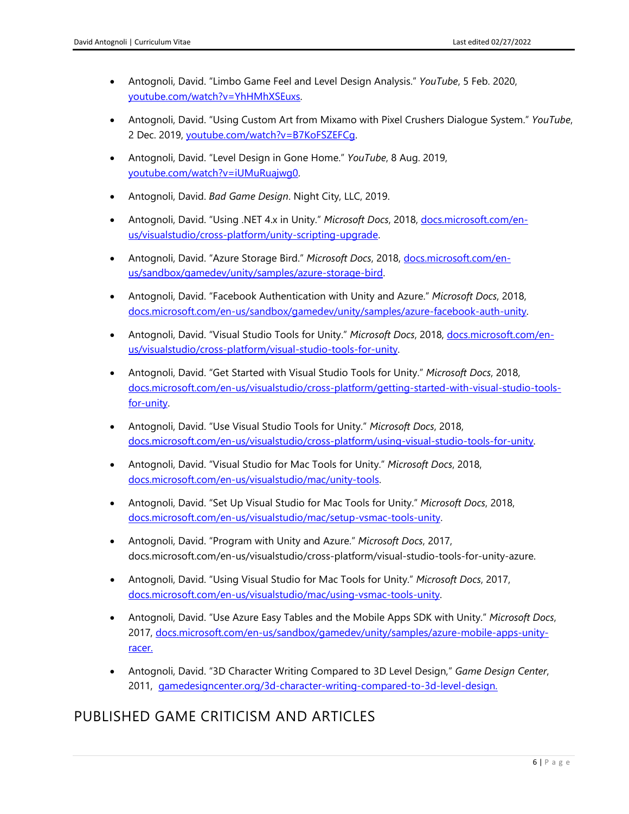- Antognoli, David. "Limbo Game Feel and Level Design Analysis." *YouTube*, 5 Feb. 2020, [youtube.com/watch?v=YhHMhXSEuxs.](https://www.youtube.com/watch?v=YhHMhXSEuxs)
- Antognoli, David. "Using Custom Art from Mixamo with Pixel Crushers Dialogue System." *YouTube*, 2 Dec. 2019, [youtube.com/watch?v=B7KoFSZEFCg.](https://www.youtube.com/watch?v=B7KoFSZEFCg)
- Antognoli, David. "Level Design in Gone Home." *YouTube*, 8 Aug. 2019, [youtube.com/watch?v=iUMuRuajwg0.](https://www.youtube.com/watch?v=iUMuRuajwg0)
- Antognoli, David. *Bad Game Design*. Night City, LLC, 2019.
- Antognoli, David. "Using .NET 4.x in Unity." *Microsoft Docs*, 2018, [docs.microsoft.com/en](https://docs.microsoft.com/en-us/visualstudio/cross-platform/unity-scripting-upgrade)[us/visualstudio/cross-platform/unity-scripting-upgrade.](https://docs.microsoft.com/en-us/visualstudio/cross-platform/unity-scripting-upgrade)
- Antognoli, David. "Azure Storage Bird." *Microsoft Docs*, 2018, [docs.microsoft.com/en](https://docs.microsoft.com/en-us/sandbox/gamedev/unity/samples/azure-storage-bird)[us/sandbox/gamedev/unity/samples/azure-storage-bird.](https://docs.microsoft.com/en-us/sandbox/gamedev/unity/samples/azure-storage-bird)
- Antognoli, David. "Facebook Authentication with Unity and Azure." *Microsoft Docs*, 2018, [docs.microsoft.com/en-us/sandbox/gamedev/unity/samples/azure-facebook-auth-unity.](https://docs.microsoft.com/en-us/sandbox/gamedev/unity/samples/azure-facebook-auth-unity)
- Antognoli, David. "Visual Studio Tools for Unity." *Microsoft Docs*, 2018, [docs.microsoft.com/en](https://docs.microsoft.com/en-us/visualstudio/cross-platform/visual-studio-tools-for-unity)[us/visualstudio/cross-platform/visual-studio-tools-for-unity.](https://docs.microsoft.com/en-us/visualstudio/cross-platform/visual-studio-tools-for-unity)
- Antognoli, David. "Get Started with Visual Studio Tools for Unity." *Microsoft Docs*, 2018, [docs.microsoft.com/en-us/visualstudio/cross-platform/getting-started-with-visual-studio-tools](https://docs.microsoft.com/en-us/visualstudio/cross-platform/getting-started-with-visual-studio-tools-for-unity)[for-unity.](https://docs.microsoft.com/en-us/visualstudio/cross-platform/getting-started-with-visual-studio-tools-for-unity)
- Antognoli, David. "Use Visual Studio Tools for Unity." *Microsoft Docs*, 2018, [docs.microsoft.com/en-us/visualstudio/cross-platform/using-visual-studio-tools-for-unity.](https://docs.microsoft.com/en-us/visualstudio/cross-platform/using-visual-studio-tools-for-unity)
- Antognoli, David. "Visual Studio for Mac Tools for Unity." *Microsoft Docs*, 2018, [docs.microsoft.com/en-us/visualstudio/mac/unity-tools.](https://docs.microsoft.com/en-us/visualstudio/mac/unity-tools)
- Antognoli, David. "Set Up Visual Studio for Mac Tools for Unity." *Microsoft Docs*, 2018, [docs.microsoft.com/en-us/visualstudio/mac/setup-vsmac-tools-unity.](https://docs.microsoft.com/en-us/visualstudio/mac/setup-vsmac-tools-unity)
- Antognoli, David. "Program with Unity and Azure." *Microsoft Docs*, 2017, docs.microsoft.com/en-us/visualstudio/cross-platform/visual-studio-tools-for-unity-azure.
- Antognoli, David. "Using Visual Studio for Mac Tools for Unity." *Microsoft Docs*, 2017, [docs.microsoft.com/en-us/visualstudio/mac/using-vsmac-tools-unity.](https://docs.microsoft.com/en-us/visualstudio/mac/using-vsmac-tools-unity)
- Antognoli, David. "Use Azure Easy Tables and the Mobile Apps SDK with Unity." *Microsoft Docs*, 2017, [docs.microsoft.com/en-us/sandbox/gamedev/unity/samples/azure-mobile-apps-unity](https://docs.microsoft.com/en-us/sandbox/gamedev/unity/samples/azure-mobile-apps-unity-racer)[racer.](https://docs.microsoft.com/en-us/sandbox/gamedev/unity/samples/azure-mobile-apps-unity-racer)
- Antognoli, David. "3D Character Writing Compared to 3D Level Design," *Game Design Center*, 2011, [gamedesigncenter.org/3d-character-writing-compared-to-3d-level-design.](http://www.gamedesigncenter.org/3d-character-writing-compared-to-3d-level-design)

## PUBLISHED GAME CRITICISM AND ARTICLES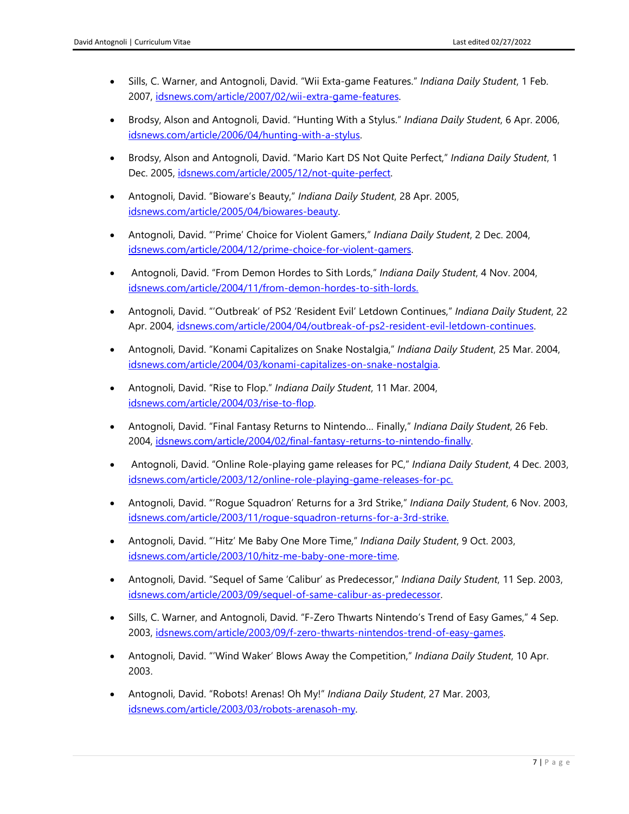- Sills, C. Warner, and Antognoli, David. "Wii Exta-game Features." *Indiana Daily Student*, 1 Feb. 2007, [idsnews.com/article/2007/02/wii-extra-game-features.](https://www.idsnews.com/article/2007/02/wii-extra-game-features)
- Brodsy, Alson and Antognoli, David. "Hunting With a Stylus." *Indiana Daily Student*, 6 Apr. 2006, [idsnews.com/article/2006/04/hunting-with-a-stylus.](https://idsnews.com/article/2006/04/hunting-with-a-stylus)
- Brodsy, Alson and Antognoli, David. "Mario Kart DS Not Quite Perfect," *Indiana Daily Student*, 1 Dec. 2005, [idsnews.com/article/2005/12/not-quite-perfect.](https://idsnews.com/article/2005/12/not-quite-perfect)
- Antognoli, David. "Bioware's Beauty," *Indiana Daily Student*, 28 Apr. 2005, [idsnews.com/article/2005/04/biowares-beauty.](https://idsnews.com/article/2005/04/biowares-beauty)
- Antognoli, David. "'Prime' Choice for Violent Gamers," *Indiana Daily Student*, 2 Dec. 2004, [idsnews.com/article/2004/12/prime-choice-for-violent-gamers.](https://www.idsnews.com/article/2004/12/prime-choice-for-violent-gamers)
- Antognoli, David. "From Demon Hordes to Sith Lords," *Indiana Daily Student*, 4 Nov. 2004, [idsnews.com/article/2004/11/from-demon-hordes-to-sith-lords.](https://www.idsnews.com/article/2004/11/from-demon-hordes-to-sith-lords)
- Antognoli, David. "'Outbreak' of PS2 'Resident Evil' Letdown Continues," *Indiana Daily Student*, 22 Apr. 2004, [idsnews.com/article/2004/04/outbreak-of-ps2-resident-evil-letdown-continues.](https://www.idsnews.com/article/2004/04/outbreak-of-ps2-resident-evil-letdown-continues)
- Antognoli, David. "Konami Capitalizes on Snake Nostalgia," *Indiana Daily Student*, 25 Mar. 2004, [idsnews.com/article/2004/03/konami-capitalizes-on-snake-nostalgia.](https://www.idsnews.com/article/2004/03/konami-capitalizes-on-snake-nostalgia)
- Antognoli, David. "Rise to Flop." *Indiana Daily Student*, 11 Mar. 2004, [idsnews.com/article/2004/03/rise-to-flop.](https://www.idsnews.com/article/2004/03/rise-to-flop)
- Antognoli, David. "Final Fantasy Returns to Nintendo… Finally," *Indiana Daily Student*, 26 Feb. 2004, [idsnews.com/article/2004/02/final-fantasy-returns-to-nintendo-finally.](https://www.idsnews.com/article/2004/02/final-fantasy-returns-to-nintendo-finally)
- Antognoli, David. "Online Role-playing game releases for PC," *Indiana Daily Student*, 4 Dec. 2003, [idsnews.com/article/2003/12/online-role-playing-game-releases-for-pc.](https://www.idsnews.com/article/2003/12/online-role-playing-game-releases-for-pc)
- Antognoli, David. "'Rogue Squadron' Returns for a 3rd Strike," *Indiana Daily Student*, 6 Nov. 2003, [idsnews.com/article/2003/11/rogue-squadron-returns-for-a-3rd-strike.](https://www.idsnews.com/article/2003/11/rogue-squadron-returns-for-a-3rd-strike)
- Antognoli, David. "'Hitz' Me Baby One More Time," *Indiana Daily Student*, 9 Oct. 2003, [idsnews.com/article/2003/10/hitz-me-baby-one-more-time.](https://www.idsnews.com/article/2003/10/hitz-me-baby-one-more-time)
- Antognoli, David. "Sequel of Same 'Calibur' as Predecessor," *Indiana Daily Student*, 11 Sep. 2003, [idsnews.com/article/2003/09/sequel-of-same-calibur-as-predecessor.](https://www.idsnews.com/article/2003/09/sequel-of-same-calibur-as-predecessor)
- Sills, C. Warner, and Antognoli, David. "F-Zero Thwarts Nintendo's Trend of Easy Games," 4 Sep. 2003, [idsnews.com/article/2003/09/f-zero-thwarts-nintendos-trend-of-easy-games.](https://www.idsnews.com/article/2003/09/f-zero-thwarts-nintendos-trend-of-easy-games)
- Antognoli, David. "'Wind Waker' Blows Away the Competition," *Indiana Daily Student*, 10 Apr. 2003.
- Antognoli, David. "Robots! Arenas! Oh My!" *Indiana Daily Student*, 27 Mar. 2003, [idsnews.com/article/2003/03/robots-arenasoh-my.](https://www.idsnews.com/article/2003/03/robots-arenasoh-my)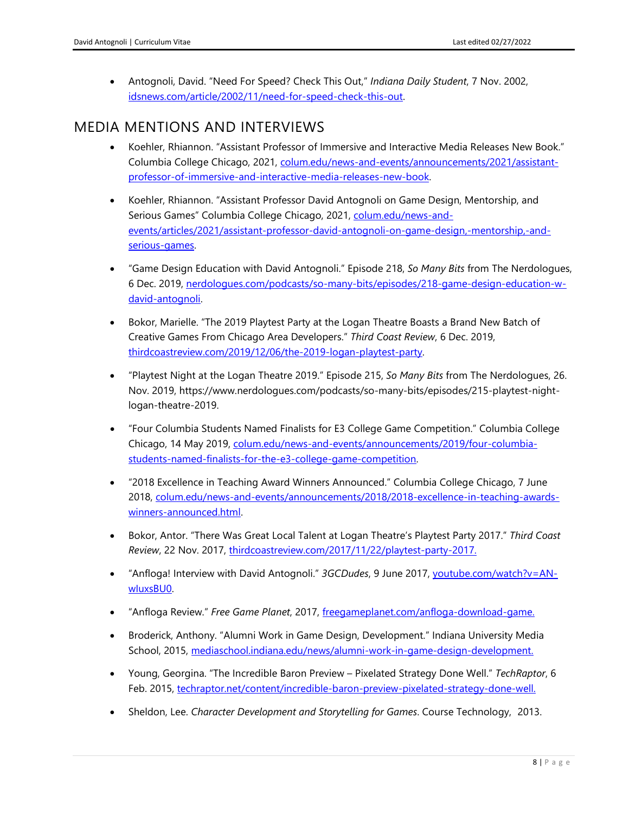• Antognoli, David. "Need For Speed? Check This Out," *Indiana Daily Student*, 7 Nov. 2002, [idsnews.com/article/2002/11/need-for-speed-check-this-out.](https://www.idsnews.com/article/2002/11/need-for-speed-check-this-out)

## MEDIA MENTIONS AND INTERVIEWS

- Koehler, Rhiannon. "Assistant Professor of Immersive and Interactive Media Releases New Book." Columbia College Chicago, 2021, [colum.edu/news-and-events/announcements/2021/assistant](https://www.colum.edu/news-and-events/announcements/2021/assistant-professor-of-immersive-and-interactive-media-releases-new-book)[professor-of-immersive-and-interactive-media-releases-new-book.](https://www.colum.edu/news-and-events/announcements/2021/assistant-professor-of-immersive-and-interactive-media-releases-new-book)
- Koehler, Rhiannon. "Assistant Professor David Antognoli on Game Design, Mentorship, and Serious Games" Columbia College Chicago, 2021, [colum.edu/news-and](https://www.colum.edu/news-and-events/articles/2021/assistant-professor-david-antognoli-on-game-design,-mentorship,-and-serious-games)[events/articles/2021/assistant-professor-david-antognoli-on-game-design,-mentorship,-and](https://www.colum.edu/news-and-events/articles/2021/assistant-professor-david-antognoli-on-game-design,-mentorship,-and-serious-games)[serious-games.](https://www.colum.edu/news-and-events/articles/2021/assistant-professor-david-antognoli-on-game-design,-mentorship,-and-serious-games)
- "Game Design Education with David Antognoli." Episode 218, *So Many Bits* from The Nerdologues, 6 Dec. 2019, [nerdologues.com/podcasts/so-many-bits/episodes/218-game-design-education-w](https://www.nerdologues.com/podcasts/so-many-bits/episodes/218-game-design-education-w-david-antognoli)[david-antognoli.](https://www.nerdologues.com/podcasts/so-many-bits/episodes/218-game-design-education-w-david-antognoli)
- Bokor, Marielle. "The 2019 Playtest Party at the Logan Theatre Boasts a Brand New Batch of Creative Games From Chicago Area Developers." *Third Coast Review*, 6 Dec. 2019, [thirdcoastreview.com/2019/12/06/the-2019-logan-playtest-party.](https://thirdcoastreview.com/2019/12/06/the-2019-logan-playtest-party/)
- "Playtest Night at the Logan Theatre 2019." Episode 215, *So Many Bits* from The Nerdologues, 26. Nov. 2019, https://www.nerdologues.com/podcasts/so-many-bits/episodes/215-playtest-nightlogan-theatre-2019.
- "Four Columbia Students Named Finalists for E3 College Game Competition." Columbia College Chicago, 14 May 2019, [colum.edu/news-and-events/announcements/2019/four-columbia](https://www.colum.edu/news-and-events/announcements/2019/four-columbia-students-named-finalists-for-the-e3-college-game-competition)[students-named-finalists-for-the-e3-college-game-competition.](https://www.colum.edu/news-and-events/announcements/2019/four-columbia-students-named-finalists-for-the-e3-college-game-competition)
- "2018 Excellence in Teaching Award Winners Announced." Columbia College Chicago, 7 June 2018, colum.edu/news-and-events/announcements/2018/2018-excellence-in-teaching-awardswinners-announced.html.
- Bokor, Antor. "There Was Great Local Talent at Logan Theatre's Playtest Party 2017." *Third Coast Review*, 22 Nov. 2017, [thirdcoastreview.com/2017/11/22/playtest-party-2017.](https://thirdcoastreview.com/2017/11/22/playtest-party-2017/)
- "Anfloga! Interview with David Antognoli." *3GCDudes*, 9 June 2017, [youtube.com/watch?v=AN](https://www.youtube.com/watch?v=AN-wIuxsBU0)[wIuxsBU0.](https://www.youtube.com/watch?v=AN-wIuxsBU0)
- "Anfloga Review." *Free Game Planet*, 2017, [freegameplanet.com/anfloga-download-game.](https://www.freegameplanet.com/anfloga-download-game/)
- Broderick, Anthony. "Alumni Work in Game Design, Development." Indiana University Media School, 2015, [mediaschool.indiana.edu/news/alumni-work-in-game-design-development.](http://mediaschool.indiana.edu/news/alumni-work-in-game-design-development/)
- Young, Georgina. "The Incredible Baron Preview Pixelated Strategy Done Well." *TechRaptor*, 6 Feb. 2015, [techraptor.net/content/incredible-baron-preview-pixelated-strategy-done-well.](https://techraptor.net/content/incredible-baron-preview-pixelated-strategy-done-well)
- Sheldon, Lee. *Character Development and Storytelling for Games*. Course Technology, 2013.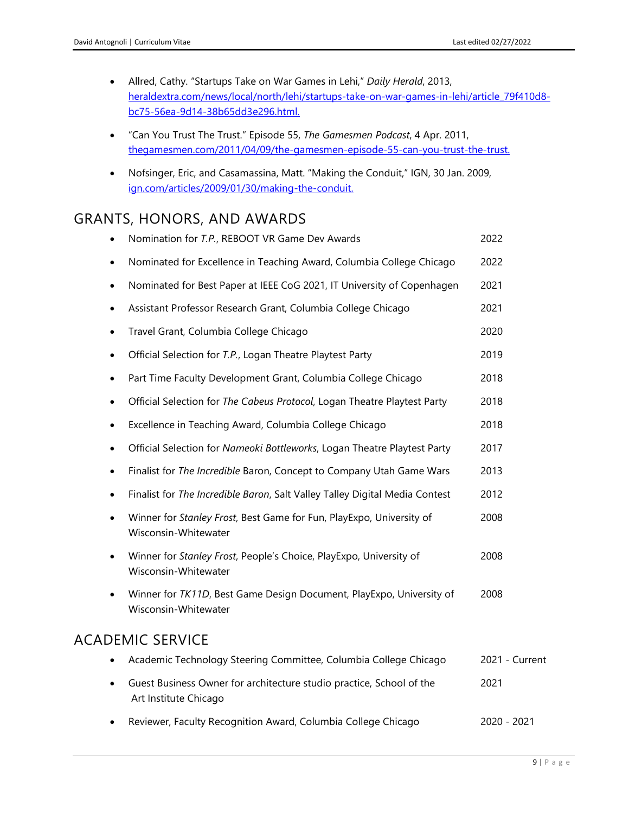- Allred, Cathy. "Startups Take on War Games in Lehi," *Daily Herald*, 2013, [heraldextra.com/news/local/north/lehi/startups-take-on-war-games-in-lehi/article\\_79f410d8](https://www.heraldextra.com/news/local/north/lehi/startups-take-on-war-games-in-lehi/article_79f410d8-bc75-56ea-9d14-38b65dd3e296.html) [bc75-56ea-9d14-38b65dd3e296.html.](https://www.heraldextra.com/news/local/north/lehi/startups-take-on-war-games-in-lehi/article_79f410d8-bc75-56ea-9d14-38b65dd3e296.html)
- "Can You Trust The Trust." Episode 55, *The Gamesmen Podcast*, 4 Apr. 2011, [thegamesmen.com/2011/04/09/the-gamesmen-episode-55-can-you-trust-the-trust.](https://thegamesmen.com/2011/04/09/the-gamesmen-episode-55-can-you-trust-the-trust/)
- Nofsinger, Eric, and Casamassina, Matt. "Making the Conduit," IGN, 30 Jan. 2009, [ign.com/articles/2009/01/30/making-the-conduit.](https://www.ign.com/articles/2009/01/30/making-the-conduit)

## GRANTS, HONORS, AND AWARDS

| $\bullet$ | Nomination for T.P., REBOOT VR Game Dev Awards                                                | 2022           |
|-----------|-----------------------------------------------------------------------------------------------|----------------|
| $\bullet$ | Nominated for Excellence in Teaching Award, Columbia College Chicago                          | 2022           |
| $\bullet$ | Nominated for Best Paper at IEEE CoG 2021, IT University of Copenhagen                        | 2021           |
| $\bullet$ | Assistant Professor Research Grant, Columbia College Chicago                                  | 2021           |
| $\bullet$ | Travel Grant, Columbia College Chicago                                                        | 2020           |
| $\bullet$ | Official Selection for T.P., Logan Theatre Playtest Party                                     | 2019           |
| $\bullet$ | Part Time Faculty Development Grant, Columbia College Chicago                                 | 2018           |
| $\bullet$ | Official Selection for The Cabeus Protocol, Logan Theatre Playtest Party                      | 2018           |
| $\bullet$ | Excellence in Teaching Award, Columbia College Chicago                                        | 2018           |
| $\bullet$ | Official Selection for Nameoki Bottleworks, Logan Theatre Playtest Party                      | 2017           |
| $\bullet$ | Finalist for The Incredible Baron, Concept to Company Utah Game Wars                          | 2013           |
| $\bullet$ | Finalist for The Incredible Baron, Salt Valley Talley Digital Media Contest                   | 2012           |
| $\bullet$ | Winner for Stanley Frost, Best Game for Fun, PlayExpo, University of<br>Wisconsin-Whitewater  | 2008           |
| $\bullet$ | Winner for Stanley Frost, People's Choice, PlayExpo, University of<br>Wisconsin-Whitewater    | 2008           |
| $\bullet$ | Winner for TK11D, Best Game Design Document, PlayExpo, University of<br>Wisconsin-Whitewater  | 2008           |
|           | <b>ACADEMIC SERVICE</b>                                                                       |                |
| $\bullet$ | Academic Technology Steering Committee, Columbia College Chicago                              | 2021 - Current |
| $\bullet$ | Guest Business Owner for architecture studio practice, School of the<br>Art Institute Chicago | 2021           |
|           | Reviewer, Faculty Recognition Award, Columbia College Chicago                                 | 2020 - 2021    |